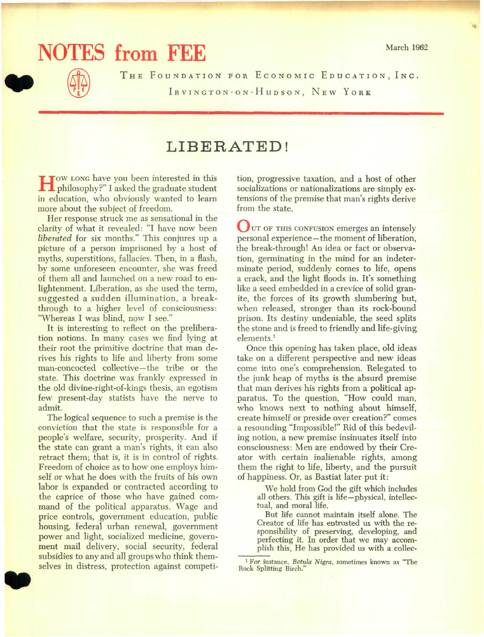## **NOTES from FEE** March 1962

THE FOUNDATION FOR ECONOMIC EDUCATION, INC. IRVINGTON-ON-HUDSON, NEW YORK

## **LIBERATED!**

How LONG have you been interested in this philosophy?" I asked the graduate student in education, who obviously wanted to learn more about the subject of freedom.

Her response struck me as sensational in the clarity of what it revealed: "I have now been *liberated* for six months." This conjures up a picture of a person imprisoned by a host of myths, superstitions, fallacies. Then, in a flash, by some unforeseen encounter, she was freed of them all and launched on a new road to enlightenment. Liberation, as she used the term, suggested a sudden illumination, a breakthrough to a higher level of consciousness: "Whereas I was blind, now I see."

It is interesting to reflect on the preliberation notions. In many cases we find lying at their root the primitive doctrine that man derives his rights to life and liberty from some man-concocted collective-the tribe or the state. This doctrine was frankly expressed in the old divine-right-of-kings thesis, an egotism few present-day statists have the nerve to admit.

• The logical sequence to such a premise is the conviction that the state is responsible for a people's welfare, security, prosperity. And if the state can grant a man's rights, it can also retract them; that is, it is in control of rights. Freedom of choice as to how one employs himself or what he does with the fruits of his own labor is expanded or contracted according to the caprice of those who have gained command of the political apparatus. Wage and price controls, government education, public housing, federal urban renewal, government power and light, socialized medicine, government mail delivery, social security, federal subsidies to any and all groups who think themselves in distress, protection against competition, progressive taxation, and a host of other socializations or nationalizations are simply extensions of the premise that man's rights derive from the state.

 $\bigcup$  UT OF THIS CONFUSION emerges an intensely personal experience-the moment of liberation, the break-through! An idea or fact or observation, germinating in the mind for an indeterminate period, suddenly comes to life, opens a crack, and the light floods in. It's something like a seed embedded in a crevice of solid granite, the forces of its growth slumbering but, when released, stronger than its rock-bound prison. Its destiny undeniable, the seed splits the stone and is freed to friendly and life-giving elements.<sup>1</sup>

Once this opening has taken place, old ideas take on a different perspective and new ideas come into one's comprehension. Relegated to the junk heap of myths is the absurd premise that man derives his rights from a political apparatus. To the question, "How could man, who knows next to nothing about himself, create himself or preside over creation?" comes a resounding "Impossible!" Rid of this bedeviling notion, a new premise insinuates itself into consciousness: Men are endowed by their Creator with certain inalienable rights, among them the right to life, liberty, and the pursuit of happiness. Or, as Bastiat later put it:

> We hold from God the gift which includes all others. This gift is life-physical, intellectual, and moral life.

> But life cannot maintain itself alone. The Creator of life has entrusted us with the responsibility of preserving, developing, and perfecting it. In order that we may accomplish this, He has provided us with a collec-

<sup>1</sup> For instance, *Betula Nigra,* sometimes known as "The Rock Splitting Birch."